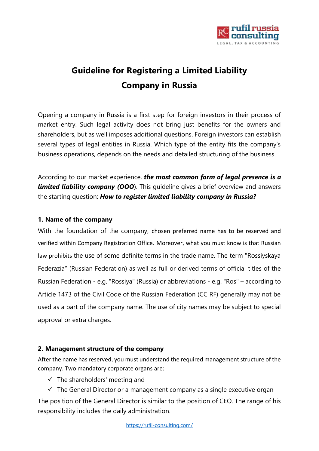

# **Guideline for Registering a Limited Liability Company in Russia**

Opening a company in Russia is a first step for foreign investors in their process of market entry. Such legal activity does not bring just benefits for the owners and shareholders, but as well imposes additional questions. Foreign investors can establish several types of legal entities in Russia. Which type of the entity fits the company's business operations, depends on the needs and detailed structuring of the business.

According to our market experience, *the most common form of legal presence is a*  **limited liability company (OOO**). This quideline gives a brief overview and answers the starting question: *How to register limited liability company in Russia?* 

## **1. Name of the company**

With the foundation of the company, chosen preferred name has to be reserved and verified within Company Registration Office. Moreover, what you must know is that Russian law prohibits the use of some definite terms in the trade name. The term "Rossiyskaya Federazia" (Russian Federation) as well as full or derived terms of official titles of the Russian Federation - e.g. "Rossiya" (Russia) or abbreviations - e.g. "Ros" – according to Article 1473 of the Civil Code of the Russian Federation (CC RF) generally may not be used as a part of the company name. The use of city names may be subject to special approval or extra charges.

#### **2. Management structure of the company**

After the name has reserved, you must understand the required management structure of the company. Two mandatory corporate organs are:

- $\checkmark$  The shareholders' meeting and
- $\checkmark$  The General Director or a management company as a single executive organ

The position of the General Director is similar to the position of CEO. The range of his responsibility includes the daily administration.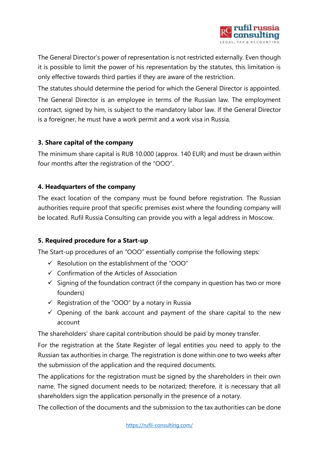

The General Director's power of representation is not restricted externally. Even though it is possible to limit the power of his representation by the statutes, this limitation is only effective towards third parties if they are aware of the restriction.

The statutes should determine the period for which the General Director is appointed. The General Director is an employee in terms of the Russian law. The employment contract, signed by him, is subject to the mandatory labor law. If the General Director is a foreigner, he must have a work permit and a work visa in Russia.

## **3. Share capital of the company**

The minimum share capital is RUB 10.000 (approx. 140 EUR) and must be drawn within four months after the registration of the "OOO".

# **4. Headquarters of the company**

The exact location of the company must be found before registration. The Russian authorities require proof that specific premises exist where the founding company will be located. Rufil Russia Consulting can provide you with a legal address in Moscow.

# **5. Required procedure for a Start-up**

The Start-up procedures of an "OOO" essentially comprise the following steps:

- $\checkmark$  Resolution on the establishment of the "OOO"
- ✓ Confirmation of the Articles of Association
- $\checkmark$  Signing of the foundation contract (if the company in question has two or more founders)
- $\checkmark$  Registration of the "OOO" by a notary in Russia
- $\checkmark$  Opening of the bank account and payment of the share capital to the new account

The shareholders' share capital contribution should be paid by money transfer.

For the registration at the State Register of legal entities you need to apply to the Russian tax authorities in charge. The registration is done within one to two weeks after the submission of the application and the required documents.

The applications for the registration must be signed by the shareholders in their own name. The signed document needs to be notarized; therefore, it is necessary that all shareholders sign the application personally in the presence of a notary.

The collection of the documents and the submission to the tax authorities can be done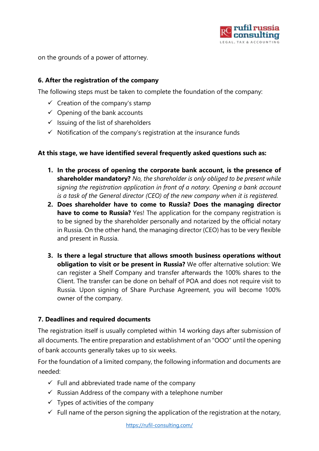

on the grounds of a power of attorney.

## **6. After the registration of the company**

The following steps must be taken to complete the foundation of the company:

- $\checkmark$  Creation of the company's stamp
- $\checkmark$  Opening of the bank accounts
- $\checkmark$  Issuing of the list of shareholders
- $\checkmark$  Notification of the company's registration at the insurance funds

#### **At this stage, we have identified several frequently asked questions such as:**

- **1. In the process of opening the corporate bank account, is the presence of shareholder mandatory?** *No, the shareholder is only obliged to be present while signing the registration application in front of a notary. Opening a bank account is a task of the General director (CEO) of the new company when it is registered.*
- **2. Does shareholder have to come to Russia? Does the managing director have to come to Russia?** Yes! The application for the company registration is to be signed by the shareholder personally and notarized by the official notary in Russia. On the other hand, the managing director (CEO) has to be very flexible and present in Russia.
- **3. Is there a legal structure that allows smooth business operations without obligation to visit or be present in Russia?** We offer alternative solution: We can register a Shelf Company and transfer afterwards the 100% shares to the Client. The transfer can be done on behalf of POA and does not require visit to Russia. Upon signing of Share Purchase Agreement, you will become 100% owner of the company.

## **7. Deadlines and required documents**

The registration itself is usually completed within 14 working days after submission of all documents. The entire preparation and establishment of an "OOO" until the opening of bank accounts generally takes up to six weeks.

For the foundation of a limited company, the following information and documents are needed:

- $\checkmark$  Full and abbreviated trade name of the company
- $\checkmark$  Russian Address of the company with a telephone number
- $\checkmark$  Types of activities of the company
- $\checkmark$  Full name of the person signing the application of the registration at the notary,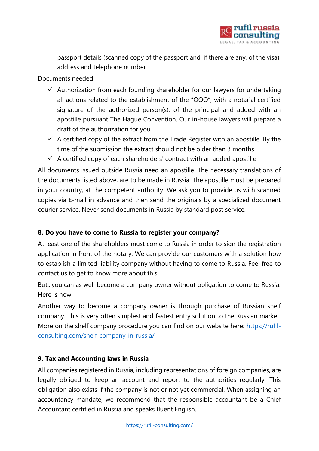

passport details (scanned copy of the passport and, if there are any, of the visa), address and telephone number

Documents needed:

- $\checkmark$  Authorization from each founding shareholder for our lawyers for undertaking all actions related to the establishment of the "OOO", with a notarial certified signature of the authorized person(s), of the principal and added with an apostille pursuant The Hague Convention. Our in-house lawyers will prepare a draft of the authorization for you
- $\checkmark$  A certified copy of the extract from the Trade Register with an apostille. By the time of the submission the extract should not be older than 3 months
- $\checkmark$  A certified copy of each shareholders' contract with an added apostille

All documents issued outside Russia need an apostille. The necessary translations of the documents listed above, are to be made in Russia. The apostille must be prepared in your country, at the competent authority. We ask you to provide us with scanned copies via E-mail in advance and then send the originals by a specialized document courier service. Never send documents in Russia by standard post service.

## **8. Do you have to come to Russia to register your company?**

At least one of the shareholders must come to Russia in order to sign the registration application in front of the notary. We can provide our customers with a solution how to establish a limited liability company without having to come to Russia. Feel free to contact us to get to know more about this.

But...you can as well become a company owner without obligation to come to Russia. Here is how:

Another way to become a company owner is through purchase of Russian shelf company. This is very often simplest and fastest entry solution to the Russian market. More on the shelf company procedure you can find on our website here: [https://rufil](https://rufil-consulting.com/shelf-company-in-russia/)[consulting.com/shelf-company-in-russia/](https://rufil-consulting.com/shelf-company-in-russia/)

## **9. Tax and Accounting laws in Russia**

All companies registered in Russia, including representations of foreign companies, are legally obliged to keep an account and report to the authorities regularly. This obligation also exists if the company is not or not yet commercial. When assigning an accountancy mandate, we recommend that the responsible accountant be a Chief Accountant certified in Russia and speaks fluent English.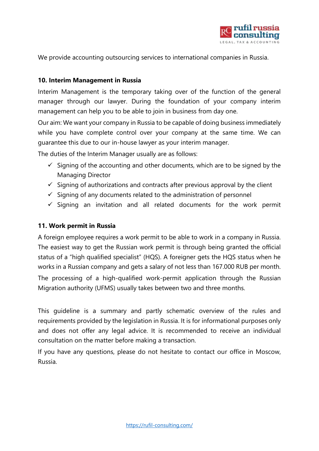

We provide accounting outsourcing services to international companies in Russia.

## **10. Interim Management in Russia**

Interim Management is the temporary taking over of the function of the general manager through our lawyer. During the foundation of your company interim management can help you to be able to join in business from day one.

Our aim: We want your company in Russia to be capable of doing business immediately while you have complete control over your company at the same time. We can guarantee this due to our in-house lawyer as your interim manager.

The duties of the Interim Manager usually are as follows:

- $\checkmark$  Signing of the accounting and other documents, which are to be signed by the Managing Director
- $\checkmark$  Signing of authorizations and contracts after previous approval by the client
- $\checkmark$  Signing of any documents related to the administration of personnel
- $\checkmark$  Signing an invitation and all related documents for the work permit

#### **11. Work permit in Russia**

A foreign employee requires a work permit to be able to work in a company in Russia. The easiest way to get the Russian work permit is through being granted the official status of a "high qualified specialist" (HQS). A foreigner gets the HQS status when he works in a Russian company and gets a salary of not less than 167.000 RUB per month. The processing of a high-qualified work-permit application through the Russian Migration authority (UFMS) usually takes between two and three months.

This guideline is a summary and partly schematic overview of the rules and requirements provided by the legislation in Russia. It is for informational purposes only and does not offer any legal advice. It is recommended to receive an individual consultation on the matter before making a transaction.

If you have any questions, please do not hesitate to contact our office in Moscow, Russia.